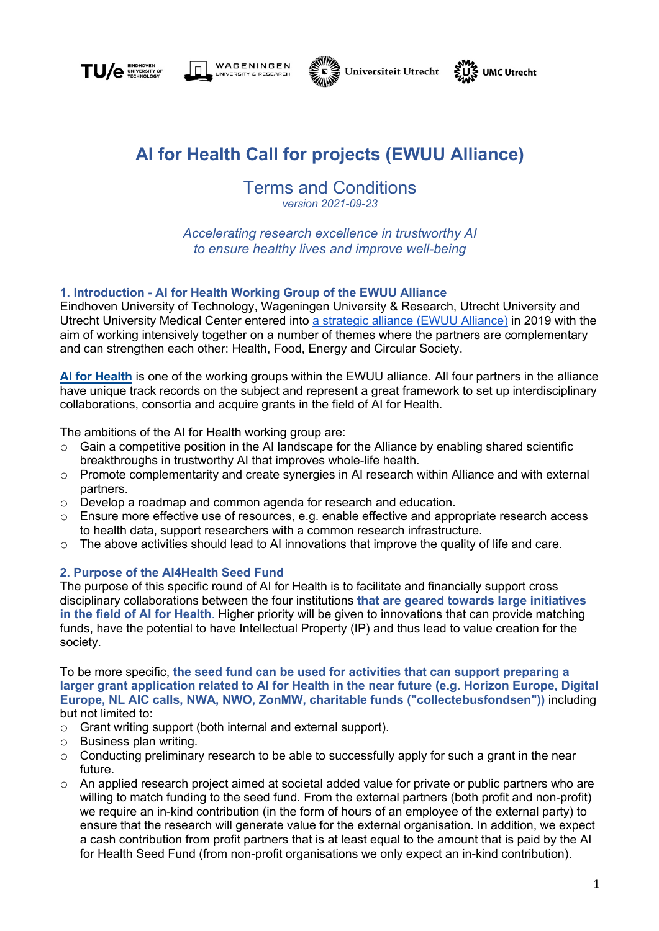







# **AI for Health Call for projects (EWUU Alliance)**

Terms and Conditions *version 2021-09-23*

*Accelerating research excellence in trustworthy AI to ensure healthy lives and improve well-being*

# **1. Introduction - AI for Health Working Group of the EWUU Alliance**

Eindhoven University of Technology, Wageningen University & Research, Utrecht University and Utrecht University Medical Center entered into a strategic alliance (EWUU Alliance) in 2019 with the aim of working intensively together on a number of themes where the partners are complementary and can strengthen each other: Health, Food, Energy and Circular Society.

**AI for Health** is one of the working groups within the EWUU alliance. All four partners in the alliance have unique track records on the subject and represent a great framework to set up interdisciplinary collaborations, consortia and acquire grants in the field of AI for Health.

The ambitions of the AI for Health working group are:

- o Gain a competitive position in the AI landscape for the Alliance by enabling shared scientific breakthroughs in trustworthy AI that improves whole-life health.
- $\circ$  Promote complementarity and create synergies in AI research within Alliance and with external partners.
- o Develop a roadmap and common agenda for research and education.
- $\circ$  Ensure more effective use of resources, e.g. enable effective and appropriate research access to health data, support researchers with a common research infrastructure.
- $\circ$  The above activities should lead to AI innovations that improve the quality of life and care.

#### **2. Purpose of the AI4Health Seed Fund**

The purpose of this specific round of AI for Health is to facilitate and financially support cross disciplinary collaborations between the four institutions **that are geared towards large initiatives in the field of AI for Health**. Higher priority will be given to innovations that can provide matching funds, have the potential to have Intellectual Property (IP) and thus lead to value creation for the society.

To be more specific, **the seed fund can be used for activities that can support preparing a larger grant application related to AI for Health in the near future (e.g. Horizon Europe, Digital Europe, NL AIC calls, NWA, NWO, ZonMW, charitable funds ("collectebusfondsen"))** including but not limited to:

- o Grant writing support (both internal and external support).
- o Business plan writing.
- $\circ$  Conducting preliminary research to be able to successfully apply for such a grant in the near future.
- o An applied research project aimed at societal added value for private or public partners who are willing to match funding to the seed fund. From the external partners (both profit and non-profit) we require an in-kind contribution (in the form of hours of an employee of the external party) to ensure that the research will generate value for the external organisation. In addition, we expect a cash contribution from profit partners that is at least equal to the amount that is paid by the AI for Health Seed Fund (from non-profit organisations we only expect an in-kind contribution).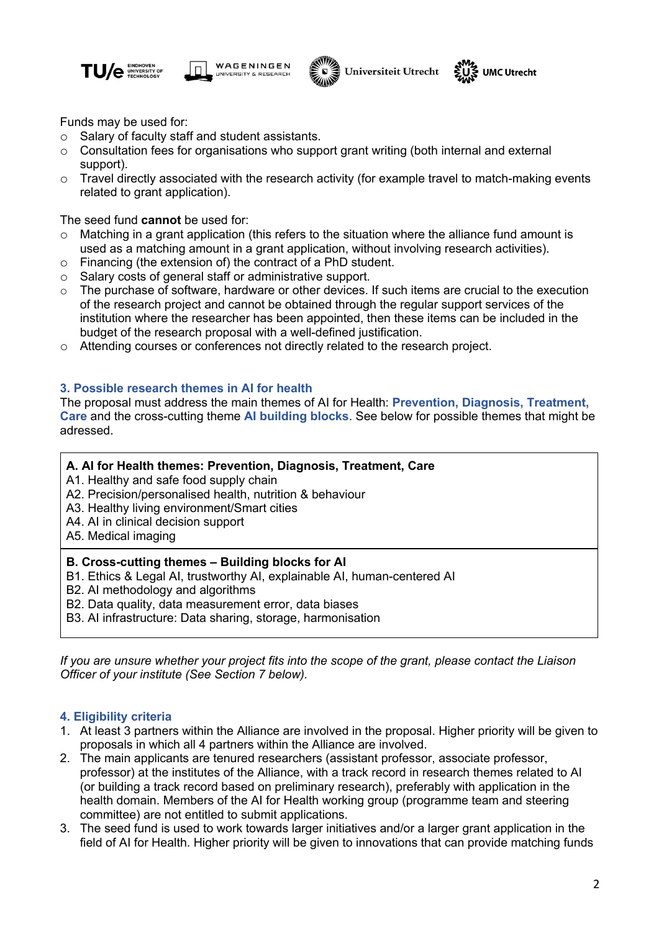







Funds may be used for:

- o Salary of faculty staff and student assistants.
- o Consultation fees for organisations who support grant writing (both internal and external support).
- $\circ$  Travel directly associated with the research activity (for example travel to match-making events related to grant application).

The seed fund **cannot** be used for:

- o Matching in a grant application (this refers to the situation where the alliance fund amount is used as a matching amount in a grant application, without involving research activities).
- o Financing (the extension of) the contract of a PhD student.
- o Salary costs of general staff or administrative support.
- $\circ$  The purchase of software, hardware or other devices. If such items are crucial to the execution of the research project and cannot be obtained through the regular support services of the institution where the researcher has been appointed, then these items can be included in the budget of the research proposal with a well-defined justification.
- o Attending courses or conferences not directly related to the research project.

# **3. Possible research themes in AI for health**

The proposal must address the main themes of AI for Health: **Prevention, Diagnosis, Treatment, Care** and the cross-cutting theme **AI building blocks**. See below for possible themes that might be adressed.

### **A. AI for Health themes: Prevention, Diagnosis, Treatment, Care**

A1. Healthy and safe food supply chain

- A2. Precision/personalised health, nutrition & behaviour
- A3. Healthy living environment/Smart cities
- A4. AI in clinical decision support
- A5. Medical imaging

#### **B. Cross-cutting themes – Building blocks for AI**

- B1. Ethics & Legal AI, trustworthy AI, explainable AI, human-centered AI
- B2. AI methodology and algorithms
- B2. Data quality, data measurement error, data biases
- B3. AI infrastructure: Data sharing, storage, harmonisation

*If you are unsure whether your project fits into the scope of the grant, please contact the Liaison Officer of your institute (See Section 7 below).*

#### **4. Eligibility criteria**

- 1. At least 3 partners within the Alliance are involved in the proposal. Higher priority will be given to proposals in which all 4 partners within the Alliance are involved.
- 2. The main applicants are tenured researchers (assistant professor, associate professor, professor) at the institutes of the Alliance, with a track record in research themes related to AI (or building a track record based on preliminary research), preferably with application in the health domain. Members of the AI for Health working group (programme team and steering committee) are not entitled to submit applications.
- 3. The seed fund is used to work towards larger initiatives and/or a larger grant application in the field of AI for Health. Higher priority will be given to innovations that can provide matching funds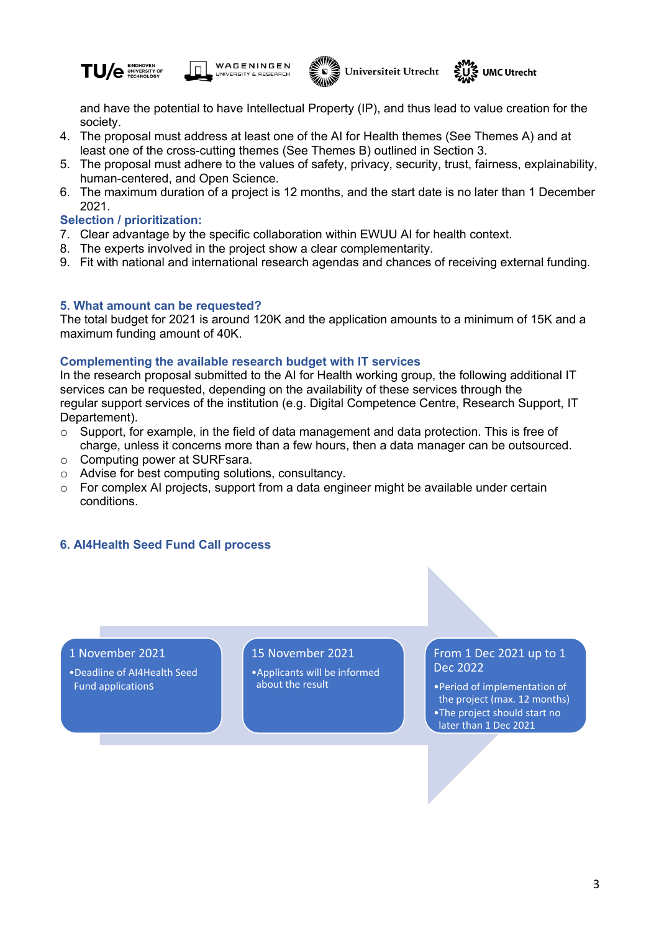







and have the potential to have Intellectual Property (IP), and thus lead to value creation for the society.

- 4. The proposal must address at least one of the AI for Health themes (See Themes A) and at least one of the cross-cutting themes (See Themes B) outlined in Section 3.
- 5. The proposal must adhere to the values of safety, privacy, security, trust, fairness, explainability, human-centered, and Open Science.
- 6. The maximum duration of a project is 12 months, and the start date is no later than 1 December 2021.

#### **Selection / prioritization:**

- 7. Clear advantage by the specific collaboration within EWUU AI for health context.
- 8. The experts involved in the project show a clear complementarity.
- 9. Fit with national and international research agendas and chances of receiving external funding.

#### **5. What amount can be requested?**

The total budget for 2021 is around 120K and the application amounts to a minimum of 15K and a maximum funding amount of 40K.

#### **Complementing the available research budget with IT services**

In the research proposal submitted to the AI for Health working group, the following additional IT services can be requested, depending on the availability of these services through the regular support services of the institution (e.g. Digital Competence Centre, Research Support, IT Departement).

- $\circ$  Support, for example, in the field of data management and data protection. This is free of charge, unless it concerns more than a few hours, then a data manager can be outsourced.
- o Computing power at SURFsara.
- o Advise for best computing solutions, consultancy.
- $\circ$  For complex AI projects, support from a data engineer might be available under certain conditions.

#### **6. AI4Health Seed Fund Call process**

#### 1 November 2021

•Deadline of AI4Health Seed Fund applications

### 15 November 2021

•Applicants will be informed about the result

# From 1 Dec 2021 up to 1 Dec 2022

•Period of implementation of the project (max. 12 months) •The project should start no later than 1 Dec 2021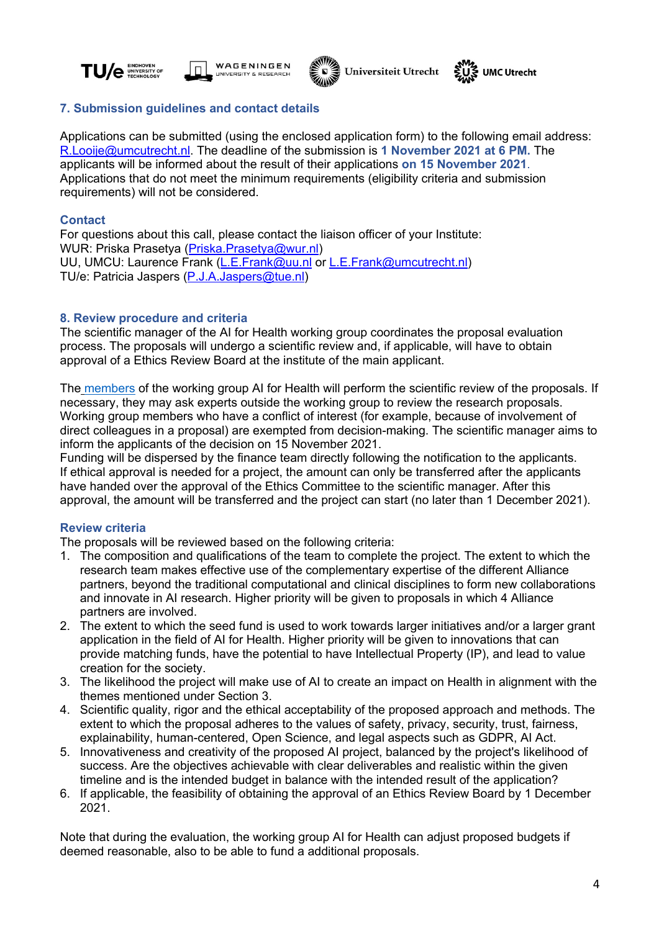







# **7. Submission guidelines and contact details**

Applications can be submitted (using the enclosed application form) to the following email address: R.Looije@umcutrecht.nl. The deadline of the submission is **1 November 2021 at 6 PM.** The applicants will be informed about the result of their applications **on 15 November 2021**. Applications that do not meet the minimum requirements (eligibility criteria and submission requirements) will not be considered.

### **Contact**

For questions about this call, please contact the liaison officer of your Institute: WUR: Priska Prasetya (Priska.Prasetya@wur.nl) UU, UMCU: Laurence Frank (L.E.Frank@uu.nl or L.E.Frank@umcutrecht.nl) TU/e: Patricia Jaspers (P.J.A.Jaspers@tue.nl)

# **8. Review procedure and criteria**

The scientific manager of the AI for Health working group coordinates the proposal evaluation process. The proposals will undergo a scientific review and, if applicable, will have to obtain approval of a Ethics Review Board at the institute of the main applicant.

The members of the working group AI for Health will perform the scientific review of the proposals. If necessary, they may ask experts outside the working group to review the research proposals. Working group members who have a conflict of interest (for example, because of involvement of direct colleagues in a proposal) are exempted from decision-making. The scientific manager aims to inform the applicants of the decision on 15 November 2021.

Funding will be dispersed by the finance team directly following the notification to the applicants. If ethical approval is needed for a project, the amount can only be transferred after the applicants have handed over the approval of the Ethics Committee to the scientific manager. After this approval, the amount will be transferred and the project can start (no later than 1 December 2021).

# **Review criteria**

The proposals will be reviewed based on the following criteria:

- 1. The composition and qualifications of the team to complete the project. The extent to which the research team makes effective use of the complementary expertise of the different Alliance partners, beyond the traditional computational and clinical disciplines to form new collaborations and innovate in AI research. Higher priority will be given to proposals in which 4 Alliance partners are involved.
- 2. The extent to which the seed fund is used to work towards larger initiatives and/or a larger grant application in the field of AI for Health. Higher priority will be given to innovations that can provide matching funds, have the potential to have Intellectual Property (IP), and lead to value creation for the society.
- 3. The likelihood the project will make use of AI to create an impact on Health in alignment with the themes mentioned under Section 3.
- 4. Scientific quality, rigor and the ethical acceptability of the proposed approach and methods. The extent to which the proposal adheres to the values of safety, privacy, security, trust, fairness, explainability, human-centered, Open Science, and legal aspects such as GDPR, AI Act.
- 5. Innovativeness and creativity of the proposed AI project, balanced by the project's likelihood of success. Are the objectives achievable with clear deliverables and realistic within the given timeline and is the intended budget in balance with the intended result of the application?
- 6. If applicable, the feasibility of obtaining the approval of an Ethics Review Board by 1 December 2021.

Note that during the evaluation, the working group AI for Health can adjust proposed budgets if deemed reasonable, also to be able to fund a additional proposals.